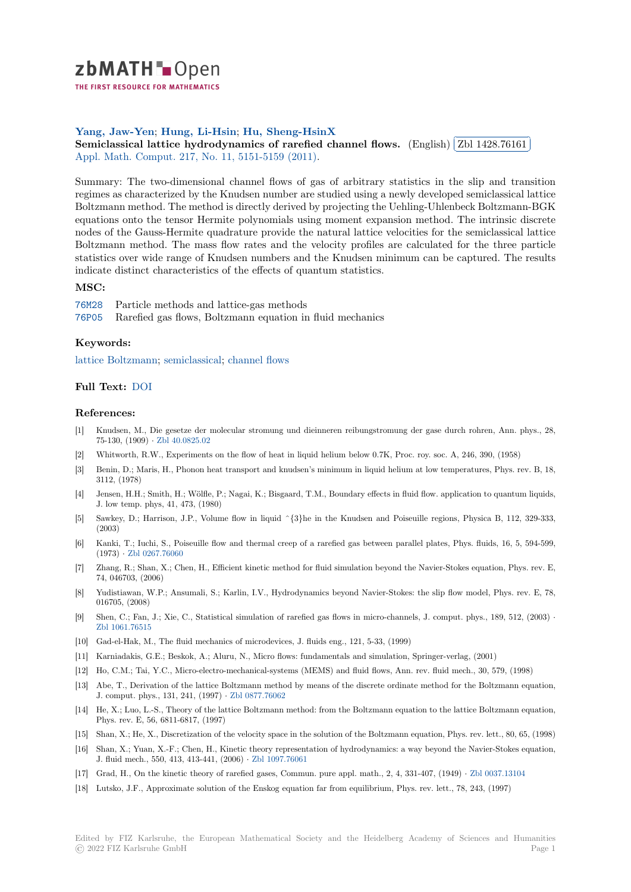

THE FIRST RESOURCE FOR MATHEMATICS

# **Yang, Jaw-Yen**; **Hung, Li-Hsin**; **Hu, Sheng-HsinX**

**[S](https://zbmath.org/)emiclassical lattice hydrodynamics of rarefied channel flows.** (English) ✂ Zbl 1428.76161 ĺ. ✁ Appl. Math. Comput. 217, No. 11, 5151-5159 (2011).

[Summary: The t](https://zbmath.org/authors/?q=ai:yang.jaw-yen)[wo-dimensional ch](https://zbmath.org/authors/?q=ai:hung.li-hsin)[annel flows of gas of](https://zbmath.org/authors/?q=ai:hu.sheng-hsinx) arbitrary statistics in the slip and transition [regimes as characterized by the Knudsen number are studied using a new](https://zbmath.org/1428.76161)ly develop[ed semiclassical la](https://zbmath.org/1428.76161)ttice [Boltzmann method. T](https://zbmath.org/journals/?q=se:331)[he method is directly derived by](https://zbmath.org/?q=in:274999) projecting the Uehling-Uhlenbeck Boltzmann-BGK equations onto the tensor Hermite polynomials using moment expansion method. The intrinsic discrete nodes of the Gauss-Hermite quadrature provide the natural lattice velocities for the semiclassical lattice Boltzmann method. The mass flow rates and the velocity profiles are calculated for the three particle statistics over wide range of Knudsen numbers and the Knudsen minimum can be captured. The results indicate distinct characteristics of the effects of quantum statistics.

## **MSC:**

76M28 Particle methods and lattice-gas methods 76P05 Rarefied gas flows, Boltzmann equation in fluid mechanics

### **Keywords:**

[lattice](https://zbmath.org/classification/?q=cc:76M28) Boltzmann; semiclassical; channel flows

## **Full Text:** DOI

#### **[References:](https://zbmath.org/?q=ut:lattice+Boltzmann)**

- [1] Knudsen, M., Die gesetze der molecular stromung und dieinneren reibungstromung der gase durch rohren, Ann. phys., 28, 75-130, ([1909\)](https://dx.doi.org/10.1016/j.amc.2010.08.026) *·* Zbl 40.0825.02
- [2] Whitworth, R.W., Experiments on the flow of heat in liquid helium below 0.7K, Proc. roy. soc. A, 246, 390, (1958)
- [3] Benin, D.; Maris, H., Phonon heat transport and knudsen's minimum in liquid helium at low temperatures, Phys. rev. B, 18, 3112, (1978)
- [4] Jensen, H.H.; S[mith, H.; Wölfle](https://zbmath.org/40.0825.02), P.; Nagai, K.; Bisgaard, T.M., Boundary effects in fluid flow. application to quantum liquids, J. low temp. phys, 41, 473, (1980)
- [5] Sawkey, D.; Harrison, J.P., Volume flow in liquid ^{3}he in the Knudsen and Poiseuille regions, Physica B, 112, 329-333, (2003)
- [6] Kanki, T.; Iuchi, S., Poiseuille flow and thermal creep of a rarefied gas between parallel plates, Phys. fluids, 16, 5, 594-599, (1973) *·* Zbl 0267.76060
- [7] Zhang, R.; Shan, X.; Chen, H., Efficient kinetic method for fluid simulation beyond the Navier-Stokes equation, Phys. rev. E, 74, 046703, (2006)
- [8] Yudistiawan, W.P.; Ansumali, S.; Karlin, I.V., Hydrodynamics beyond Navier-Stokes: the slip flow model, Phys. rev. E, 78, 016705, [\(2008\)](https://zbmath.org/0267.76060)
- [9] Shen, C.; Fan, J.; Xie, C., Statistical simulation of rarefied gas flows in micro-channels, J. comput. phys., 189, 512, (2003) *·* Zbl 1061.76515
- [10] Gad-el-Hak, M., The fluid mechanics of microdevices, J. fluids eng., 121, 5-33, (1999)
- [11] Karniadakis, G.E.; Beskok, A.; Aluru, N., Micro flows: fundamentals and simulation, Springer-verlag, (2001)
- [12] Ho, C.M.; Tai, Y.C., Micro-electro-mechanical-systems (MEMS) and fluid flows, Ann. rev. fluid mech., 30, 579, (1998)
- [13] [Abe, T., Deriva](https://zbmath.org/1061.76515)tion of the lattice Boltzmann method by means of the discrete ordinate method for the Boltzmann equation, J. comput. phys., 131, 241, (1997) *·* Zbl 0877.76062
- [14] He, X.; Luo, L.-S., Theory of the lattice Boltzmann method: from the Boltzmann equation to the lattice Boltzmann equation, Phys. rev. E, 56, 6811-6817, (1997)
- [15] Shan, X.; He, X., Discretization of the velocity space in the solution of the Boltzmann equation, Phys. rev. lett., 80, 65, (1998)
- [16] Shan, X.; Yuan, X.-F.; Chen, H., Ki[netic theory rep](https://zbmath.org/0877.76062)resentation of hydrodynamics: a way beyond the Navier-Stokes equation, J. fluid mech., 550, 413, 413-441, (2006) *·* Zbl 1097.76061
- [17] Grad, H., On the kinetic theory of rarefied gases, Commun. pure appl. math., 2, 4, 331-407, (1949) *·* Zbl 0037.13104
- [18] Lutsko, J.F., Approximate solution of the Enskog equation far from equilibrium, Phys. rev. lett., 78, 243, (1997)